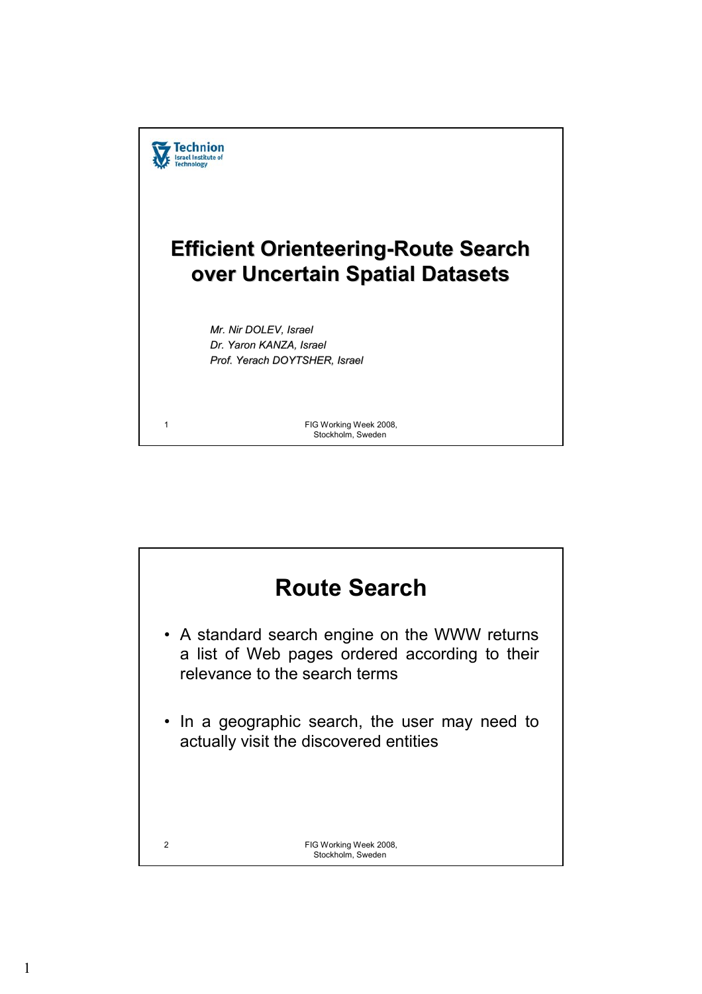

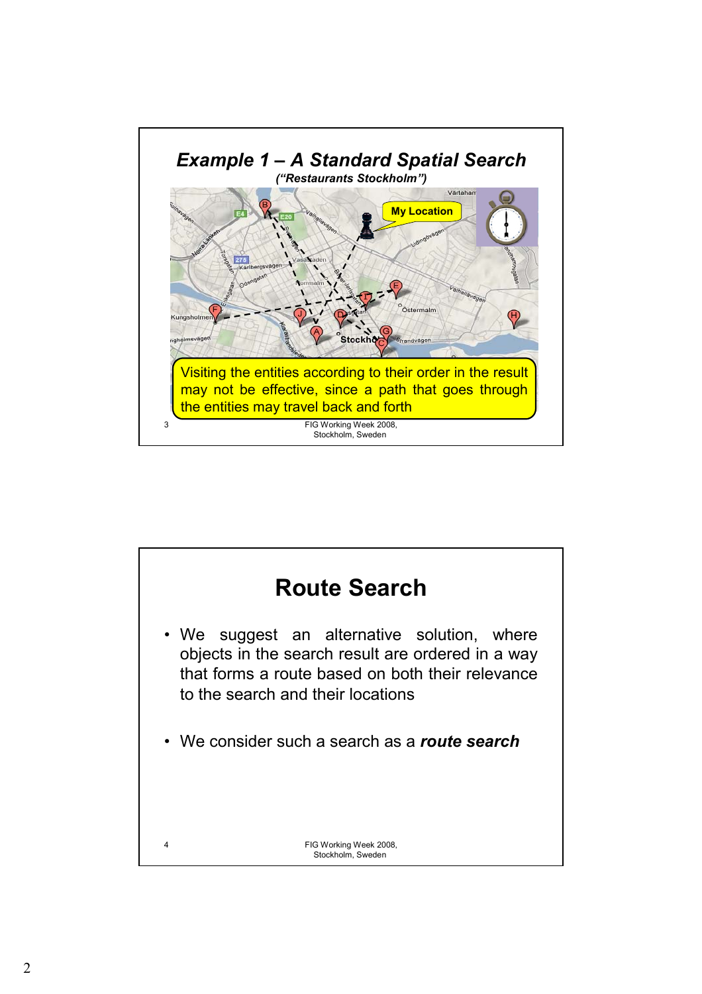

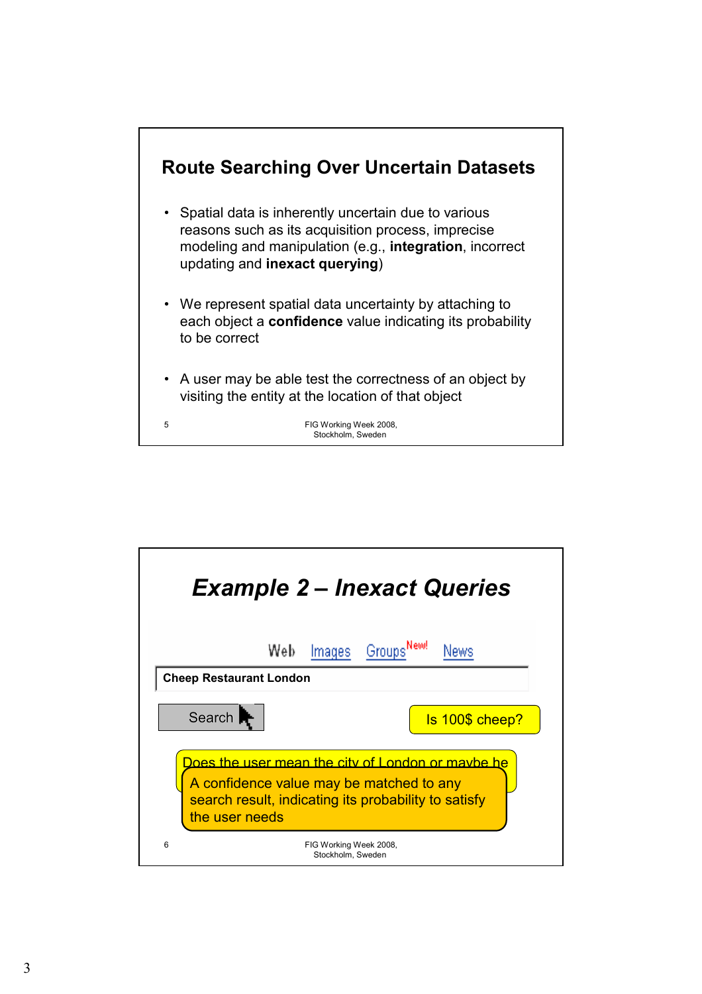

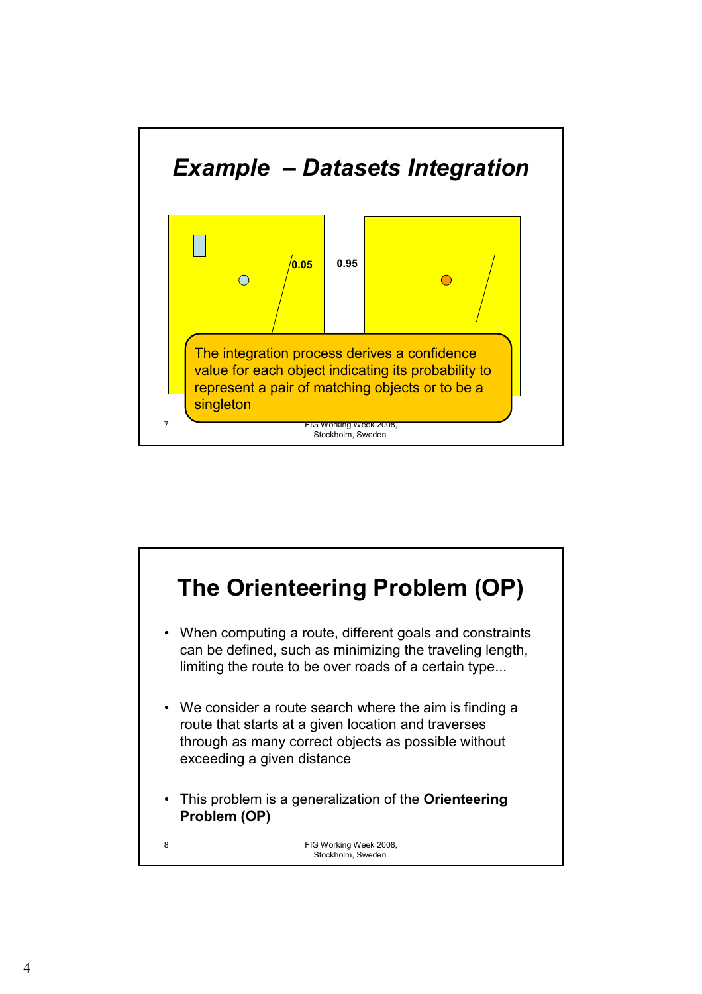

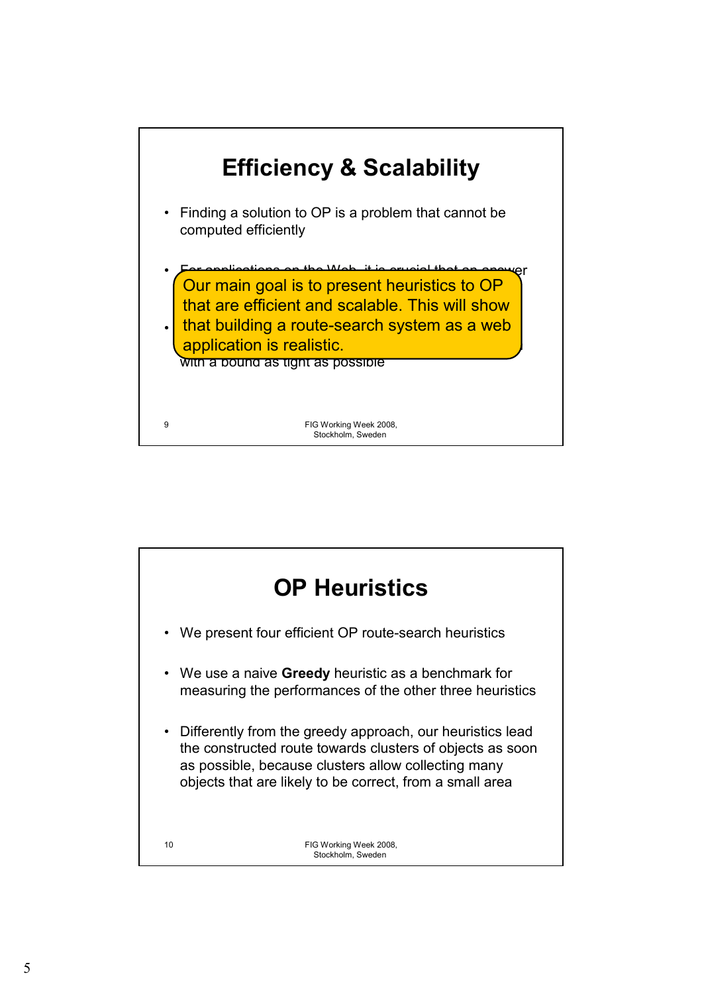

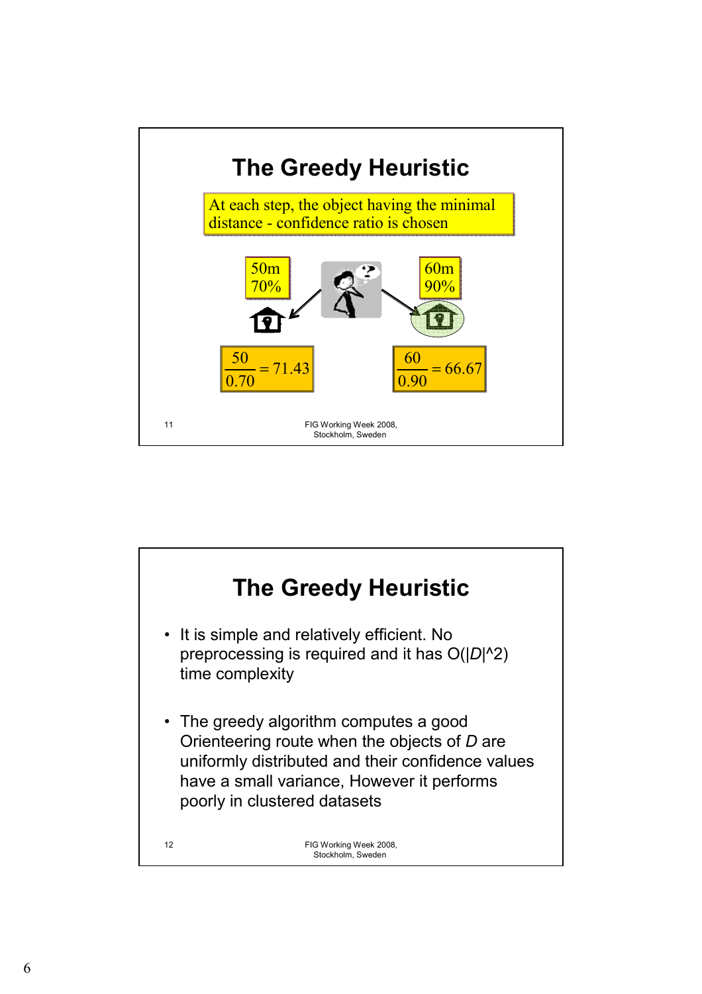

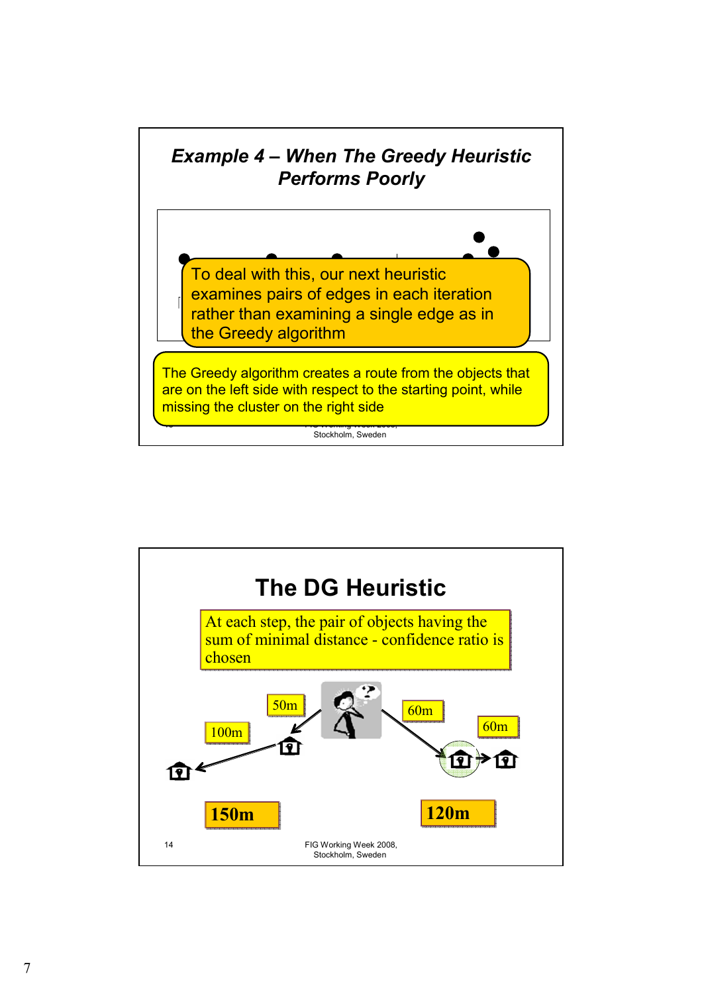

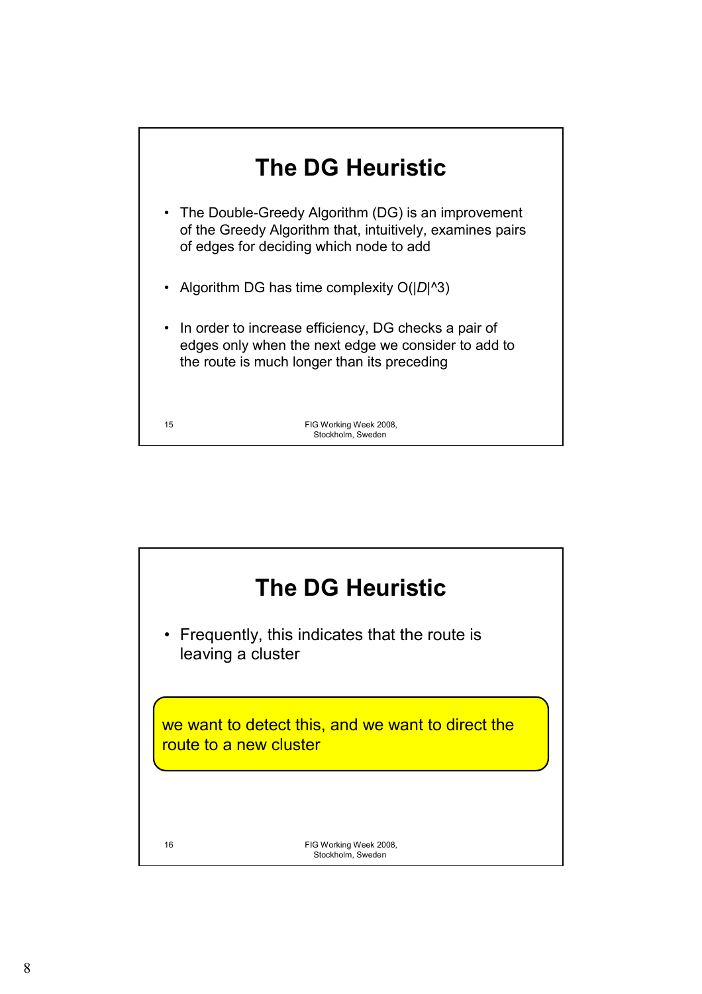

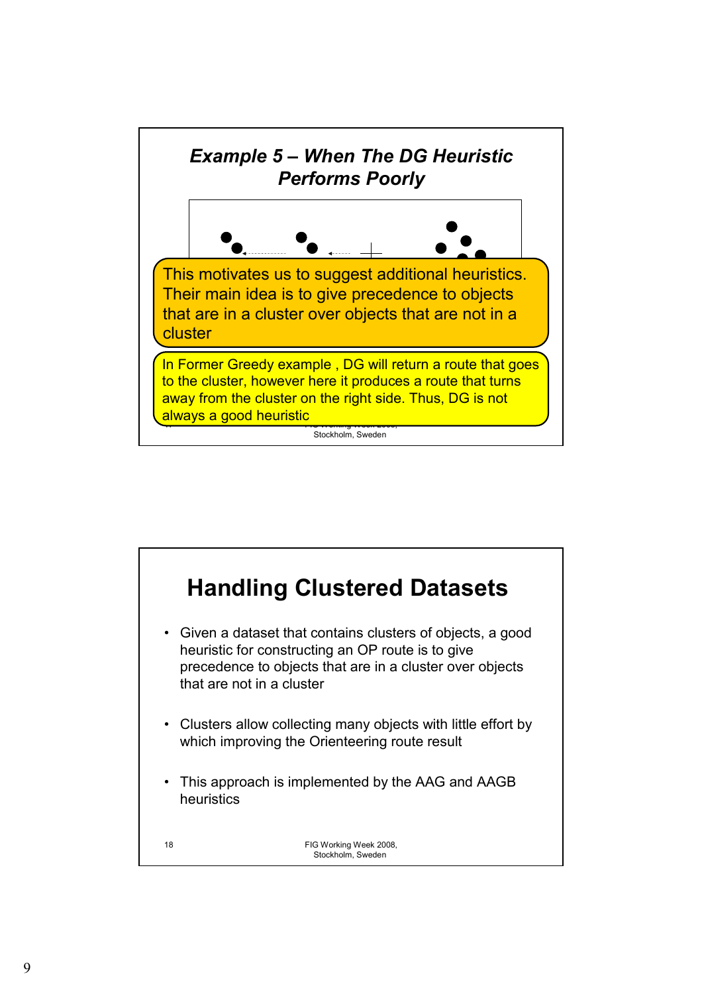

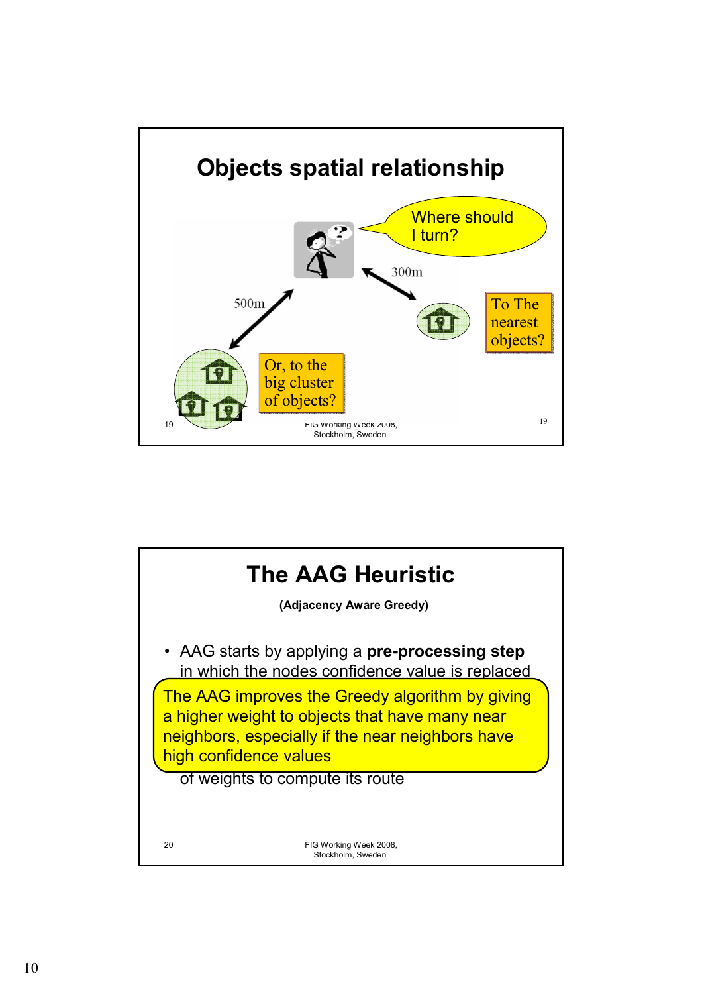

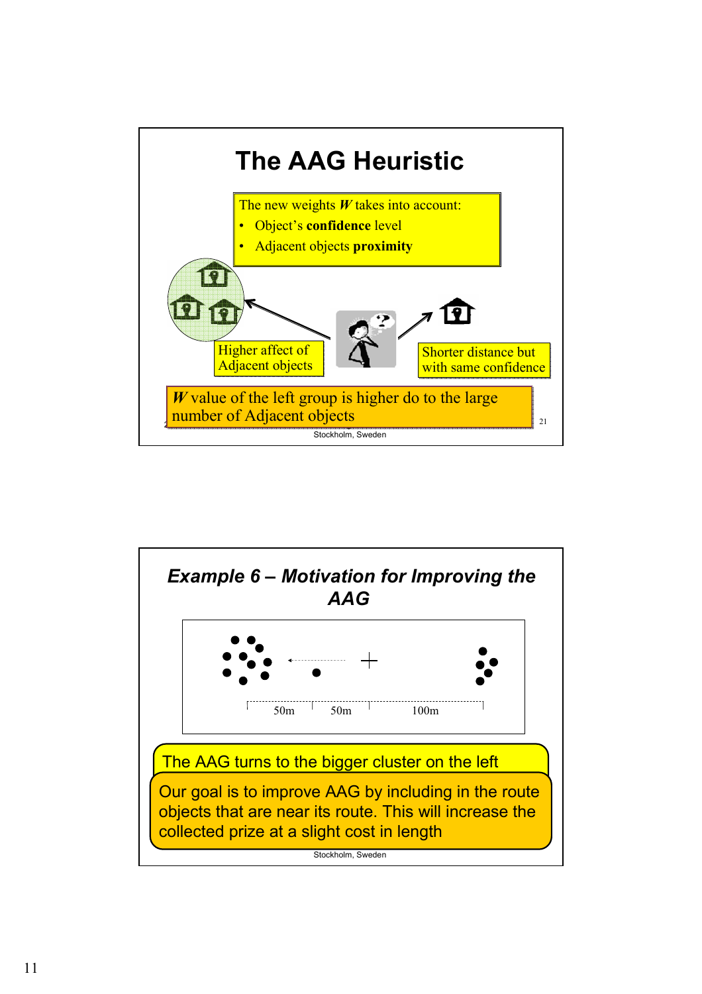

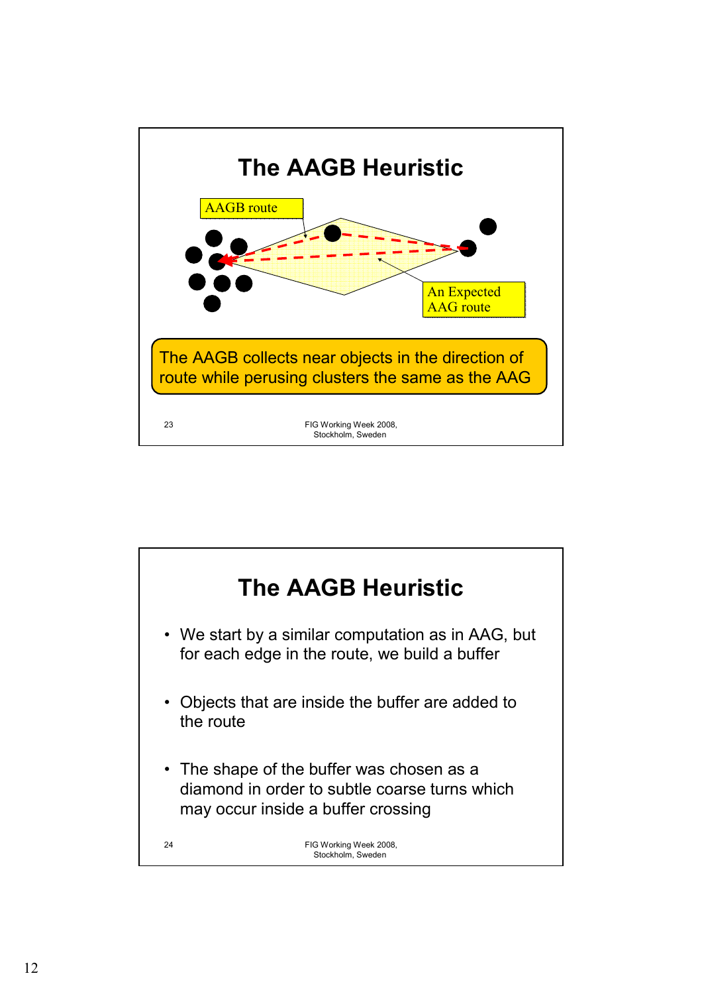

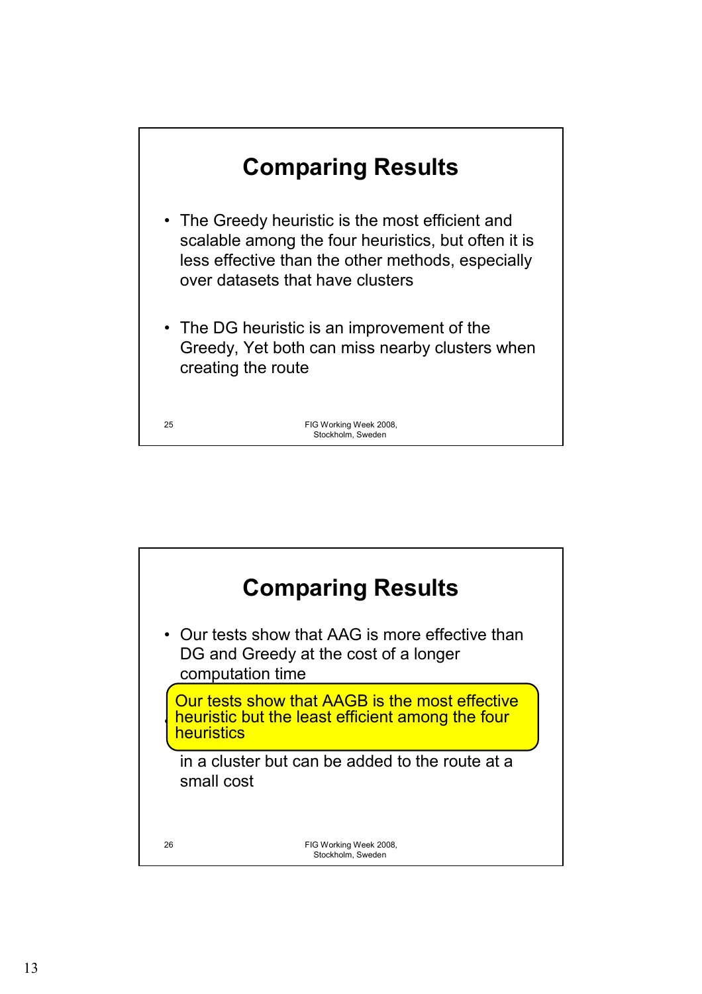